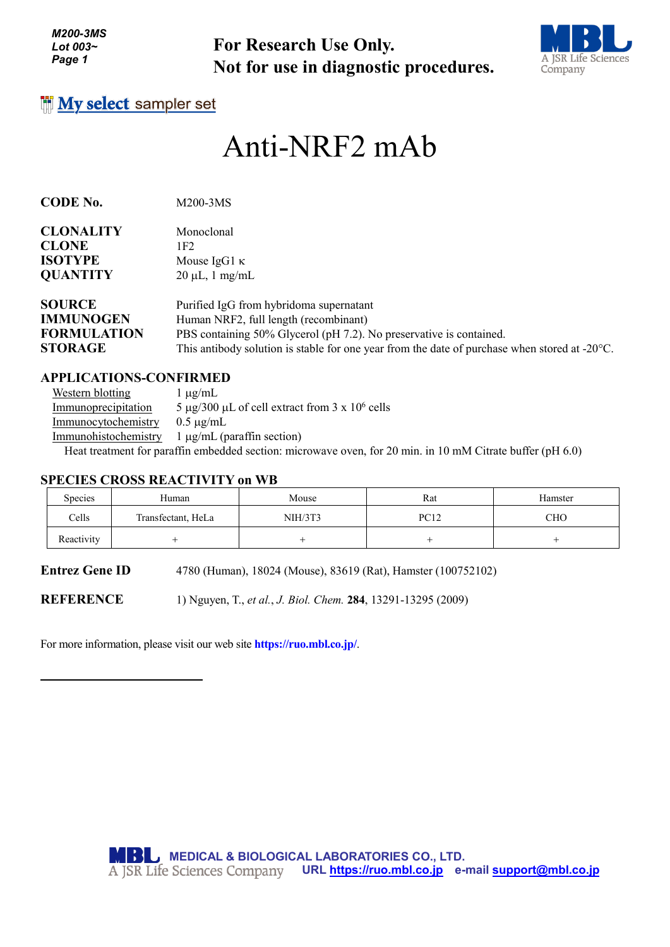**For Research Use Only. Not for use in diagnostic procedures.**



## **I'll My select sampler set**

# Anti-NRF2 mAb

| CODE No. | M200-3MS |
|----------|----------|
|          |          |

| <b>CLONALITY</b> | Monoclonal                              |
|------------------|-----------------------------------------|
| <b>CLONE</b>     | 1F2.                                    |
| <b>ISOTYPE</b>   | Mouse IgG1 $\kappa$                     |
| <b>QUANTITY</b>  | $20 \mu L$ , 1 mg/mL                    |
| <b>SOURCE</b>    | Purified IgG from hybridoma supernatant |
| <b>IMMUNOGEN</b> | Human NRF2, full length (recombinant)   |

**STORAGE** This antibody solution is stable for one year from the date of purchase when stored at -20°C.

#### **APPLICATIONS-CONFIRMED**

Western blotting  $1 \mu g/mL$ Immunoprecipitation 5  $\mu$ g/300  $\mu$ L of cell extract from 3 x 10<sup>6</sup> cells Immunocytochemistry 0.5 µg/mL Immunohistochemistry 1 µg/mL (paraffin section) Heat treatment for paraffin embedded section: microwave oven, for 20 min. in 10 mM Citrate buffer (pH 6.0)

#### **SPECIES CROSS REACTIVITY on WB**

| Species    | Human              | Mouse   | Rat         | Hamster |
|------------|--------------------|---------|-------------|---------|
| Cells      | Transfectant, HeLa | NIH/3T3 | <b>PC12</b> | CHO     |
| Reactivity |                    |         |             |         |

**Entrez Gene ID** 4780 (Human), 18024 (Mouse), 83619 (Rat), Hamster (100752102)

**FORMULATION** PBS containing 50% Glycerol (pH 7.2). No preservative is contained.

**REFERENCE** 1) Nguyen, T., *et al.*, *J. Biol. Chem.* **284**, 13291-13295 (2009)

For more information, please visit our web site **https://ruo.mbl.co.jp/**.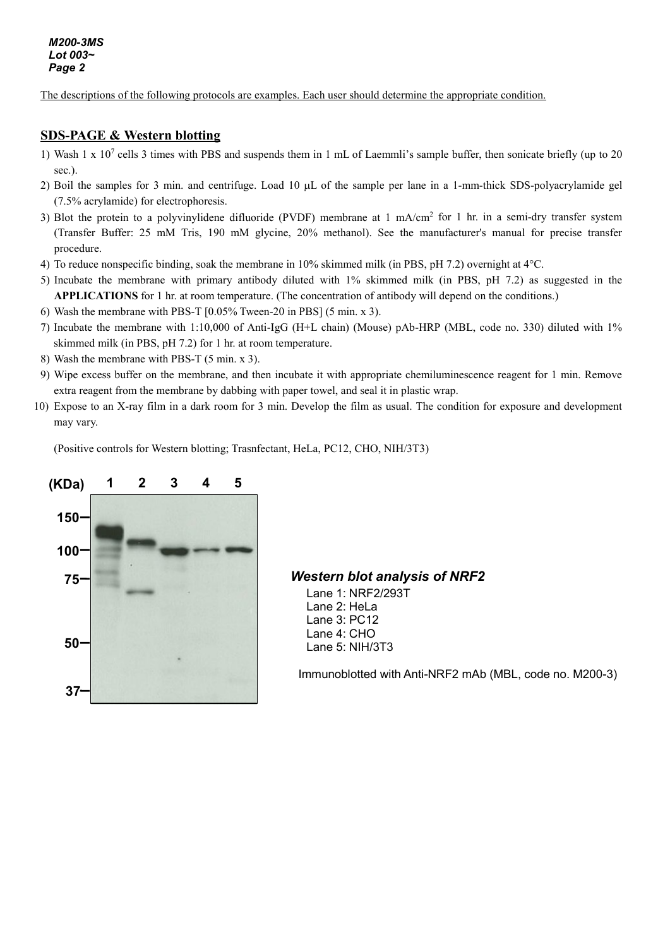The descriptions of the following protocols are examples. Each user should determine the appropriate condition.

#### **SDS-PAGE & Western blotting**

- 1) Wash 1 x  $10^7$  cells 3 times with PBS and suspends them in 1 mL of Laemmli's sample buffer, then sonicate briefly (up to 20 sec.).
- 2) Boil the samples for 3 min. and centrifuge. Load 10 µL of the sample per lane in a 1-mm-thick SDS-polyacrylamide gel (7.5% acrylamide) for electrophoresis.
- 3) Blot the protein to a polyvinylidene difluoride (PVDF) membrane at  $1 \text{ mA/cm}^2$  for  $1 \text{ hr}$  in a semi-dry transfer system (Transfer Buffer: 25 mM Tris, 190 mM glycine, 20% methanol). See the manufacturer's manual for precise transfer procedure.
- 4) To reduce nonspecific binding, soak the membrane in 10% skimmed milk (in PBS, pH 7.2) overnight at 4°C.
- 5) Incubate the membrane with primary antibody diluted with 1% skimmed milk (in PBS, pH 7.2) as suggested in the **APPLICATIONS** for 1 hr. at room temperature. (The concentration of antibody will depend on the conditions.)
- 6) Wash the membrane with PBS-T [0.05% Tween-20 in PBS] (5 min. x 3).
- 7) Incubate the membrane with 1:10,000 of Anti-IgG (H+L chain) (Mouse) pAb-HRP (MBL, code no. 330) diluted with 1% skimmed milk (in PBS, pH 7.2) for 1 hr. at room temperature.
- 8) Wash the membrane with PBS-T (5 min. x 3).
- 9) Wipe excess buffer on the membrane, and then incubate it with appropriate chemiluminescence reagent for 1 min. Remove extra reagent from the membrane by dabbing with paper towel, and seal it in plastic wrap.
- 10) Expose to an X-ray film in a dark room for 3 min. Develop the film as usual. The condition for exposure and development may vary.

(Positive controls for Western blotting; Trasnfectant, HeLa, PC12, CHO, NIH/3T3)



#### *Western blot analysis of NRF2*

Lane 1: NRF2/293T Lane 2: HeLa Lane 3: PC12 Lane 4: CHO Lane 5: NIH/3T3

Immunoblotted with Anti-NRF2 mAb (MBL, code no. M200-3)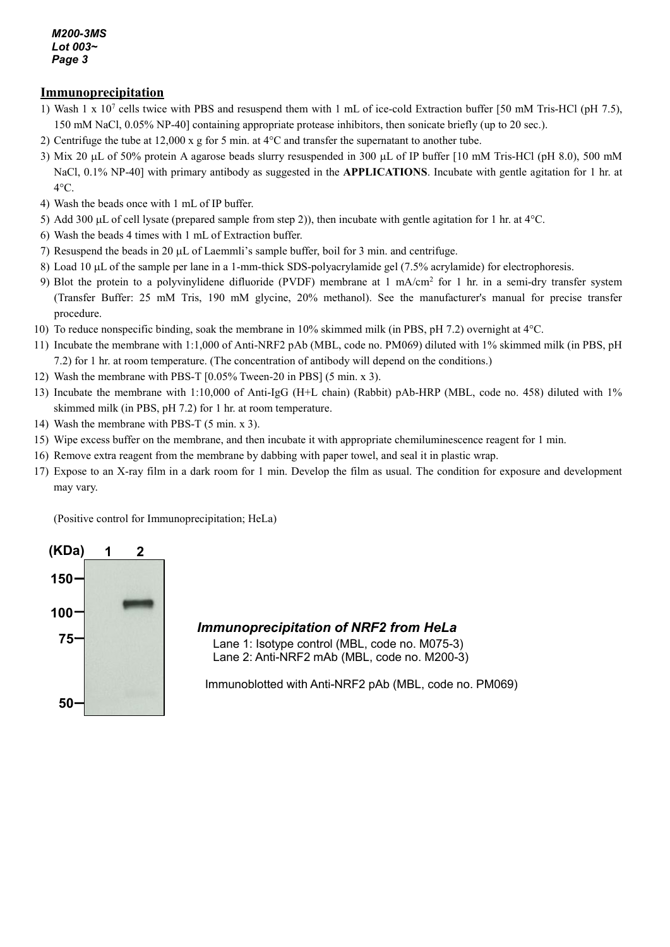## **Immunoprecipitation**

- 1) Wash 1 x 107 cells twice with PBS and resuspend them with 1 mL of ice-cold Extraction buffer [50 mM Tris-HCl (pH 7.5), 150 mM NaCl, 0.05% NP-40] containing appropriate protease inhibitors, then sonicate briefly (up to 20 sec.).
- 2) Centrifuge the tube at 12,000 x g for 5 min. at 4°C and transfer the supernatant to another tube.
- 3) Mix 20 µL of 50% protein A agarose beads slurry resuspended in 300 µL of IP buffer [10 mM Tris-HCl (pH 8.0), 500 mM NaCl, 0.1% NP-40] with primary antibody as suggested in the **APPLICATIONS**. Incubate with gentle agitation for 1 hr. at 4°C.
- 4) Wash the beads once with 1 mL of IP buffer.
- 5) Add 300  $\mu$ L of cell lysate (prepared sample from step 2)), then incubate with gentle agitation for 1 hr. at  $4^{\circ}$ C.
- 6) Wash the beads 4 times with 1 mL of Extraction buffer.
- 7) Resuspend the beads in 20 µL of Laemmli's sample buffer, boil for 3 min. and centrifuge.
- 8) Load 10 µL of the sample per lane in a 1-mm-thick SDS-polyacrylamide gel (7.5% acrylamide) for electrophoresis.
- 9) Blot the protein to a polyvinylidene difluoride (PVDF) membrane at 1 mA/cm2 for 1 hr. in a semi-dry transfer system (Transfer Buffer: 25 mM Tris, 190 mM glycine, 20% methanol). See the manufacturer's manual for precise transfer procedure.
- 10) To reduce nonspecific binding, soak the membrane in 10% skimmed milk (in PBS, pH 7.2) overnight at 4°C.
- 11) Incubate the membrane with 1:1,000 of Anti-NRF2 pAb (MBL, code no. PM069) diluted with 1% skimmed milk (in PBS, pH 7.2) for 1 hr. at room temperature. (The concentration of antibody will depend on the conditions.)
- 12) Wash the membrane with PBS-T [0.05% Tween-20 in PBS] (5 min. x 3).
- 13) Incubate the membrane with 1:10,000 of Anti-IgG (H+L chain) (Rabbit) pAb-HRP (MBL, code no. 458) diluted with 1% skimmed milk (in PBS, pH 7.2) for 1 hr. at room temperature.
- 14) Wash the membrane with PBS-T (5 min. x 3).
- 15) Wipe excess buffer on the membrane, and then incubate it with appropriate chemiluminescence reagent for 1 min.
- 16) Remove extra reagent from the membrane by dabbing with paper towel, and seal it in plastic wrap.
- 17) Expose to an X-ray film in a dark room for 1 min. Develop the film as usual. The condition for exposure and development may vary.

(Positive control for Immunoprecipitation; HeLa)



## *Immunoprecipitation of NRF2 from HeLa*

Lane 1: Isotype control (MBL, code no. M075-3) Lane 2: Anti-NRF2 mAb (MBL, code no. M200-3)

Immunoblotted with Anti-NRF2 pAb (MBL, code no. PM069)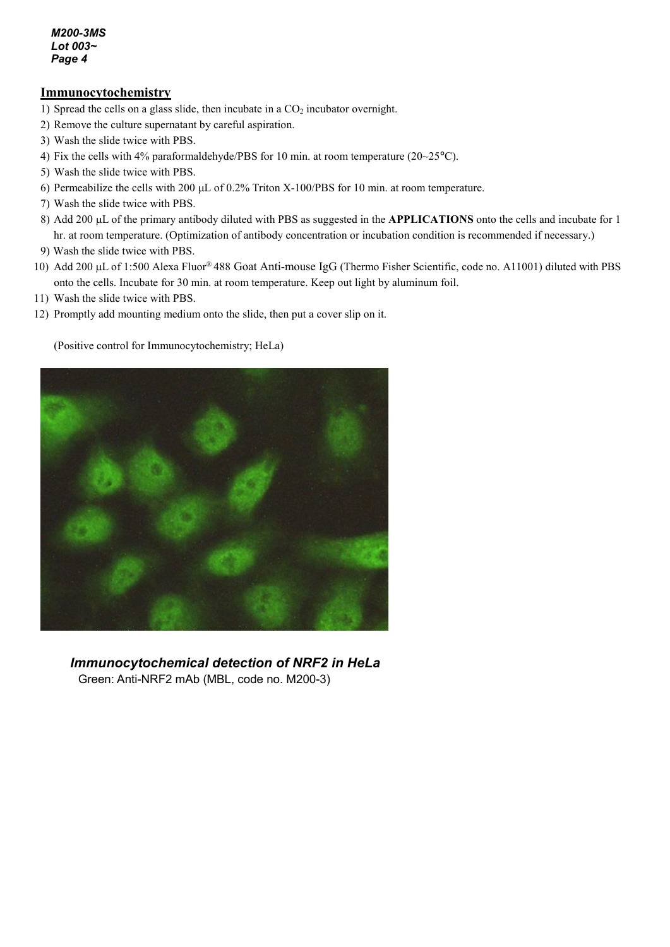## **Immunocytochemistry**

- 1) Spread the cells on a glass slide, then incubate in a  $CO<sub>2</sub>$  incubator overnight.
- 2) Remove the culture supernatant by careful aspiration.
- 3) Wash the slide twice with PBS.
- 4) Fix the cells with 4% paraformaldehyde/PBS for 10 min. at room temperature (20~25°C).
- 5) Wash the slide twice with PBS.
- 6) Permeabilize the cells with 200 µL of 0.2% Triton X-100/PBS for 10 min. at room temperature.
- 7) Wash the slide twice with PBS.
- 8) Add 200 µL of the primary antibody diluted with PBS as suggested in the **APPLICATIONS** onto the cells and incubate for 1 hr. at room temperature. (Optimization of antibody concentration or incubation condition is recommended if necessary.)
- 9) Wash the slide twice with PBS.
- 10) Add 200 µL of 1:500 Alexa Fluor® 488 Goat Anti-mouse IgG (Thermo Fisher Scientific, code no. A11001) diluted with PBS onto the cells. Incubate for 30 min. at room temperature. Keep out light by aluminum foil.
- 11) Wash the slide twice with PBS.
- 12) Promptly add mounting medium onto the slide, then put a cover slip on it.

(Positive control for Immunocytochemistry; HeLa)



*Immunocytochemical detection of NRF2 in HeLa* Green: Anti-NRF2 mAb (MBL, code no. M200-3)